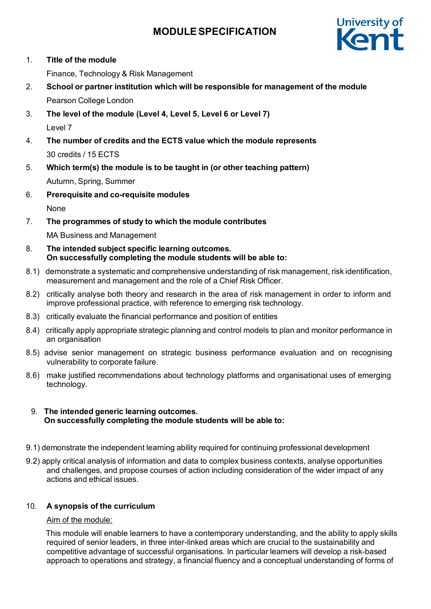

1. **Title of the module**

Finance, Technology & Risk Management

- 2. **School or partner institution which will be responsible for management of the module** Pearson College London
- 3. **The level of the module (Level 4, Level 5, Level 6 or Level 7)** Level 7
- 4. **The number of credits and the ECTS value which the module represents** 30 credits / 15 ECTS
- 5. **Which term(s) the module is to be taught in (or other teaching pattern)** Autumn, Spring, Summer
- 6. **Prerequisite and co-requisite modules**

None

7. **The programmes of study to which the module contributes**

MA Business and Management

- 8. **The intended subject specific learning outcomes. On successfully completing the module students will be able to:**
- 8.1) demonstrate a systematic and comprehensive understanding of risk management, risk identification, measurement and management and the role of a Chief Risk Officer.
- 8.2) critically analyse both theory and research in the area of risk management in order to inform and improve professional practice, with reference to emerging risk technology.
- 8.3) critically evaluate the financial performance and position of entities
- 8.4) critically apply appropriate strategic planning and control models to plan and monitor performance in an organisation
- 8.5) advise senior management on strategic business performance evaluation and on recognising vulnerability to corporate failure.
- 8.6) make justified recommendations about technology platforms and organisational uses of emerging technology.

## 9. **The intended generic learning outcomes. On successfully completing the module students will be able to:**

- 9.1) demonstrate the independent learning ability required for continuing professional development
- 9.2) apply critical analysis of information and data to complex business contexts, analyse opportunities and challenges, and propose courses of action including consideration of the wider impact of any actions and ethical issues.

## 10. **A synopsis of the curriculum**

## Aim of the module:

This module will enable learners to have a contemporary understanding, and the ability to apply skills required of senior leaders, in three inter-linked areas which are crucial to the sustainability and competitive advantage of successful organisations. In particular learners will develop a risk-based approach to operations and strategy, a financial fluency and a conceptual understanding of forms of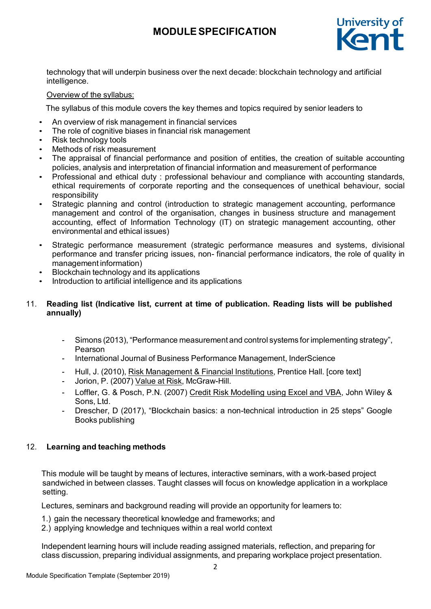

technology that will underpin business over the next decade: blockchain technology and artificial intelligence.

## Overview of the syllabus:

The syllabus of this module covers the key themes and topics required by senior leaders to

- An overview of risk management in financial services
- The role of cognitive biases in financial risk management
- Risk technology tools
- Methods of risk measurement
- The appraisal of financial performance and position of entities, the creation of suitable accounting policies, analysis and interpretation of financial information and measurement of performance
- Professional and ethical duty : professional behaviour and compliance with accounting standards, ethical requirements of corporate reporting and the consequences of unethical behaviour, social responsibility
- Strategic planning and control (introduction to strategic management accounting, performance management and control of the organisation, changes in business structure and management accounting, effect of Information Technology (IT) on strategic management accounting, other environmental and ethical issues)
- Strategic performance measurement (strategic performance measures and systems, divisional performance and transfer pricing issues, non- financial performance indicators, the role of quality in management information)
- Blockchain technology and its applications
- Introduction to artificial intelligence and its applications

## 11. **Reading list (Indicative list, current at time of publication. Reading lists will be published annually)**

- Simons (2013), "Performance measurement and control systems for implementing strategy", Pearson
- International Journal of Business Performance Management, InderScience
- Hull, J. (2010), Risk Management & Financial Institutions, Prentice Hall. [core text]
- Jorion, P. (2007) Value at Risk, McGraw-Hill.
- Loffler, G. & Posch, P.N. (2007) Credit Risk Modelling using Excel and VBA, John Wiley & Sons, Ltd.
- Drescher, D (2017), "Blockchain basics: a non-technical introduction in 25 steps" Google Books publishing

## 12. **Learning and teaching methods**

This module will be taught by means of lectures, interactive seminars, with a work-based project sandwiched in between classes. Taught classes will focus on knowledge application in a workplace setting.

Lectures, seminars and background reading will provide an opportunity for learners to:

- 1.) gain the necessary theoretical knowledge and frameworks; and
- 2.) applying knowledge and techniques within a real world context

Independent learning hours will include reading assigned materials, reflection, and preparing for class discussion, preparing individual assignments, and preparing workplace project presentation.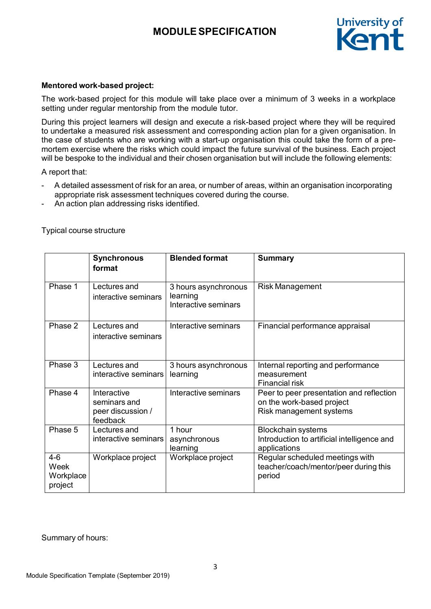

### **Mentored work-based project:**

The work-based project for this module will take place over a minimum of 3 weeks in a workplace setting under regular mentorship from the module tutor.

During this project learners will design and execute a risk-based project where they will be required to undertake a measured risk assessment and corresponding action plan for a given organisation. In the case of students who are working with a start-up organisation this could take the form of a premortem exercise where the risks which could impact the future survival of the business. Each project will be bespoke to the individual and their chosen organisation but will include the following elements:

A report that:

- A detailed assessment of risk for an area, or number of areas, within an organisation incorporating appropriate risk assessment techniques covered during the course.
- An action plan addressing risks identified.

|                                         | <b>Synchronous</b><br>format                                 | <b>Blended format</b>                                    | <b>Summary</b>                                                                                   |
|-----------------------------------------|--------------------------------------------------------------|----------------------------------------------------------|--------------------------------------------------------------------------------------------------|
| Phase 1                                 | Lectures and<br>interactive seminars                         | 3 hours asynchronous<br>learning<br>Interactive seminars | <b>Risk Management</b>                                                                           |
| Phase 2                                 | Lectures and<br>interactive seminars                         | Interactive seminars                                     | Financial performance appraisal                                                                  |
| Phase 3                                 | Lectures and<br>interactive seminars                         | 3 hours asynchronous<br>learning                         | Internal reporting and performance<br>measurement<br><b>Financial risk</b>                       |
| Phase 4                                 | Interactive<br>seminars and<br>peer discussion /<br>feedback | Interactive seminars                                     | Peer to peer presentation and reflection<br>on the work-based project<br>Risk management systems |
| Phase 5                                 | Lectures and<br>interactive seminars                         | 1 hour<br>asynchronous<br>learning                       | <b>Blockchain systems</b><br>Introduction to artificial intelligence and<br>applications         |
| $4 - 6$<br>Week<br>Workplace<br>project | Workplace project                                            | Workplace project                                        | Regular scheduled meetings with<br>teacher/coach/mentor/peer during this<br>period               |

Typical course structure

Summary of hours: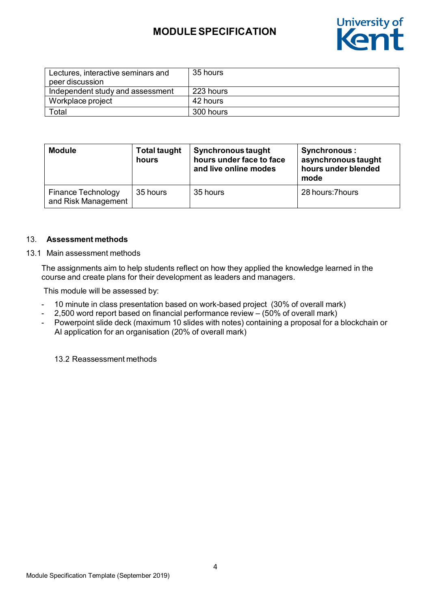

| Lectures, interactive seminars and<br>peer discussion | 35 hours  |
|-------------------------------------------------------|-----------|
| Independent study and assessment                      | 223 hours |
| Workplace project                                     | 42 hours  |
| Total                                                 | 300 hours |

| <b>Module</b>                             | <b>Total taught</b><br>hours | <b>Synchronous taught</b><br>hours under face to face<br>and live online modes | <b>Synchronous:</b><br>asynchronous taught<br>hours under blended<br>mode |
|-------------------------------------------|------------------------------|--------------------------------------------------------------------------------|---------------------------------------------------------------------------|
| Finance Technology<br>and Risk Management | 35 hours                     | 35 hours                                                                       | 28 hours: 7 hours                                                         |

#### 13. **Assessment methods**

#### 13.1 Main assessment methods

The assignments aim to help students reflect on how they applied the knowledge learned in the course and create plans for their development as leaders and managers.

This module will be assessed by:

- 10 minute in class presentation based on work-based project (30% of overall mark)
- 2,500 word report based on financial performance review  $-$  (50% of overall mark)
- Powerpoint slide deck (maximum 10 slides with notes) containing a proposal for a blockchain or AI application for an organisation (20% of overall mark)

13.2 Reassessment methods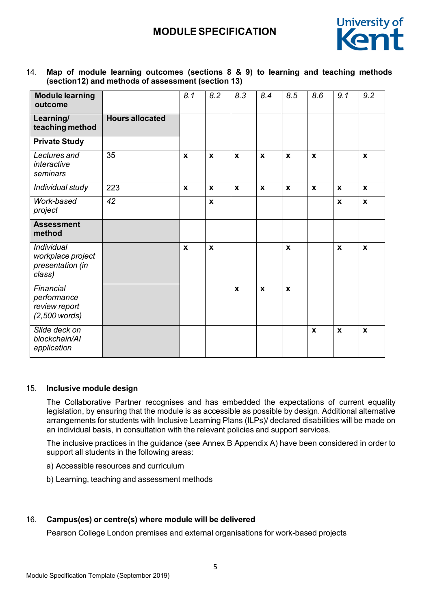

14. **Map of module learning outcomes (sections 8 & 9) to learning and teaching methods (section12) and methods of assessment (section 13)**

| <b>Module learning</b><br>outcome                             |                        | 8.1          | 8.2          | 8.3          | 8.4          | 8.5          | 8.6          | 9.1          | 9.2          |
|---------------------------------------------------------------|------------------------|--------------|--------------|--------------|--------------|--------------|--------------|--------------|--------------|
| Learning/<br>teaching method                                  | <b>Hours allocated</b> |              |              |              |              |              |              |              |              |
| <b>Private Study</b>                                          |                        |              |              |              |              |              |              |              |              |
| Lectures and<br>interactive<br>seminars                       | 35                     | $\mathbf{x}$ | $\mathbf{x}$ | $\mathbf{x}$ | $\mathbf{x}$ | $\mathbf{x}$ | $\mathbf{x}$ |              | $\mathbf{x}$ |
| Individual study                                              | 223                    | $\mathbf{x}$ | $\mathbf{x}$ | $\mathbf{x}$ | $\mathbf{x}$ | $\mathbf{x}$ | $\mathbf{x}$ | $\mathbf{x}$ | $\mathbf{x}$ |
| Work-based<br>project                                         | $\overline{42}$        |              | $\mathbf x$  |              |              |              |              | X            | $\mathbf{x}$ |
| <b>Assessment</b><br>method                                   |                        |              |              |              |              |              |              |              |              |
| Individual<br>workplace project<br>presentation (in<br>class) |                        | X            | X            |              |              | X            |              | X            | X            |
| Financial<br>performance<br>review report<br>$(2,500$ words)  |                        |              |              | $\mathbf{x}$ | $\mathbf{x}$ | $\mathbf{x}$ |              |              |              |
| Slide deck on<br>blockchain/Al<br>application                 |                        |              |              |              |              |              | $\pmb{\chi}$ | $\mathbf x$  | $\pmb{\chi}$ |

## 15. **Inclusive module design**

The Collaborative Partner recognises and has embedded the expectations of current equality legislation, by ensuring that the module is as accessible as possible by design. Additional alternative arrangements for students with Inclusive Learning Plans (ILPs)/ declared disabilities will be made on an individual basis, in consultation with the relevant policies and support services.

The inclusive practices in the guidance (see Annex B Appendix A) have been considered in order to support all students in the following areas:

- a) Accessible resources and curriculum
- b) Learning, teaching and assessment methods

## 16. **Campus(es) or centre(s) where module will be delivered**

Pearson College London premises and external organisations for work-based projects